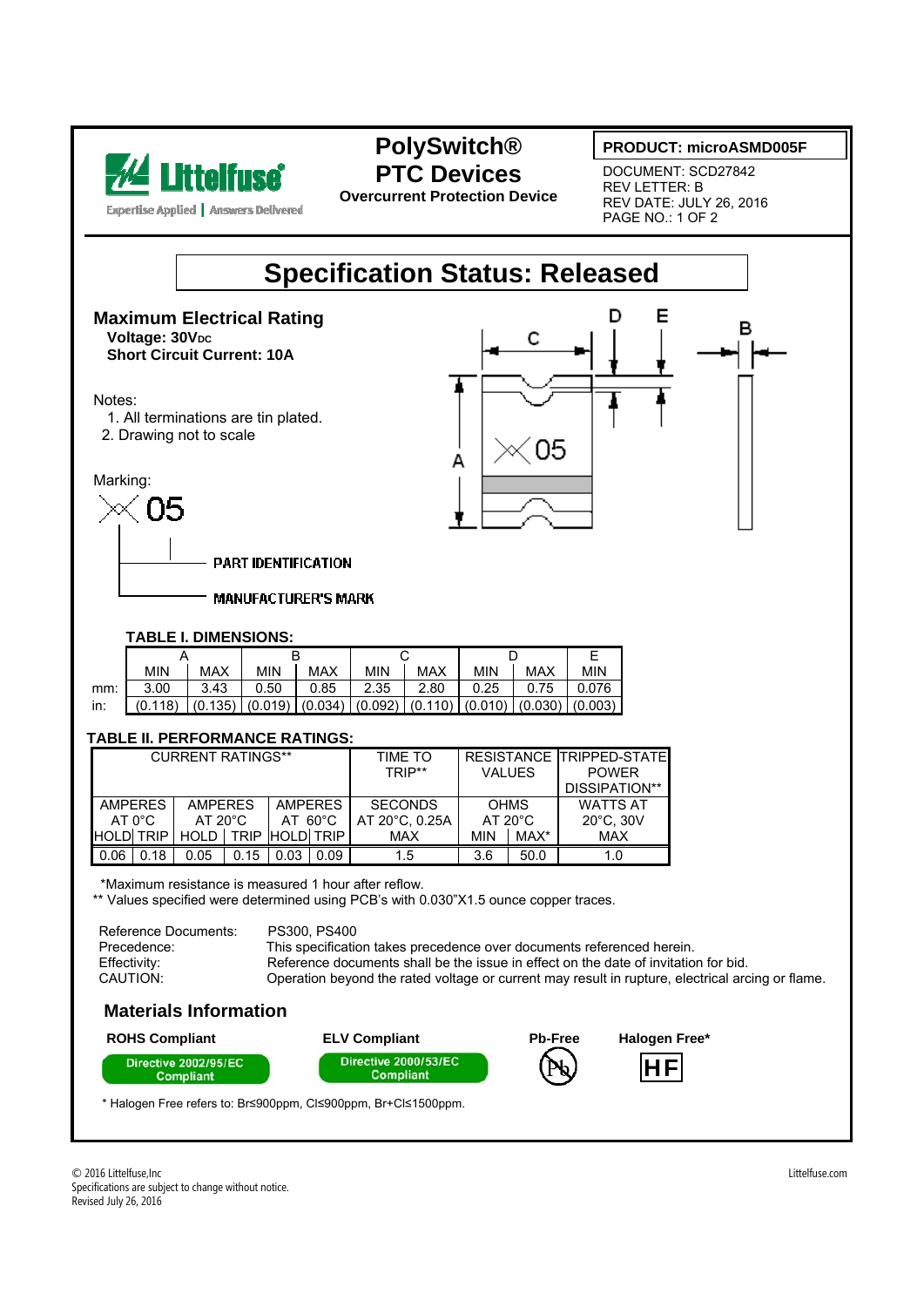